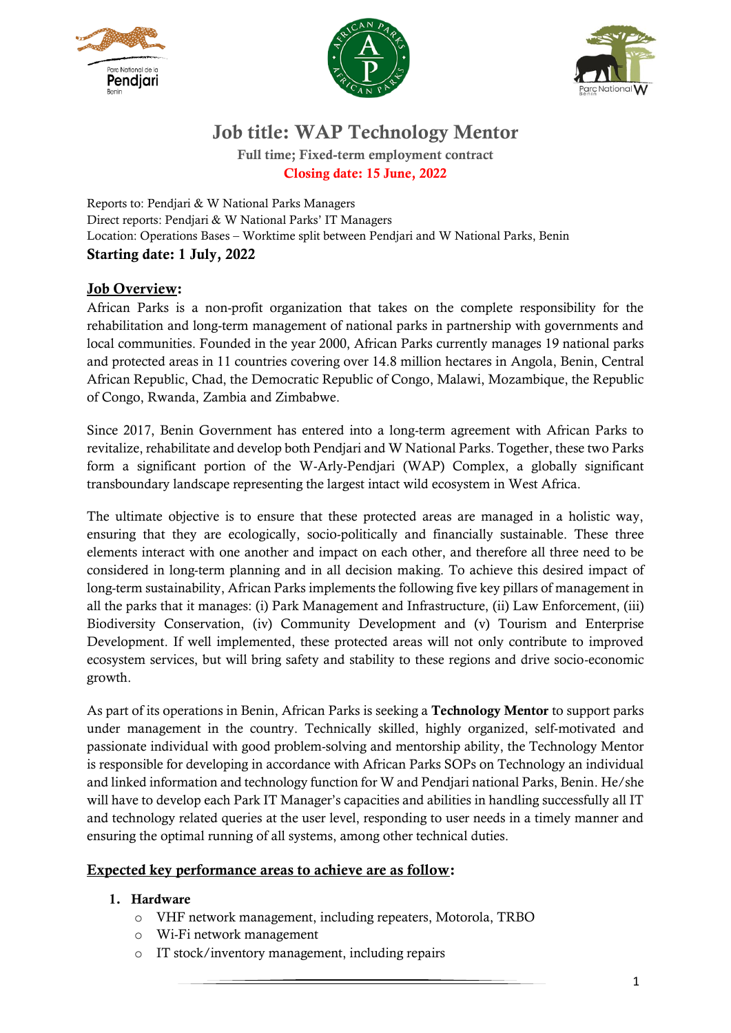





# Job title: WAP Technology Mentor

Full time; Fixed-term employment contract Closing date: 15 June, 2022

Reports to: Pendjari & W National Parks Managers Direct reports: Pendjari & W National Parks' IT Managers Location: Operations Bases – Worktime split between Pendjari and W National Parks, Benin Starting date: 1 July, 2022

## Job Overview:

African Parks is a non-profit organization that takes on the complete responsibility for the rehabilitation and long-term management of national parks in partnership with governments and local communities. Founded in the year 2000, African Parks currently manages 19 national parks and protected areas in 11 countries covering over 14.8 million hectares in Angola, Benin, Central African Republic, Chad, the Democratic Republic of Congo, Malawi, Mozambique, the Republic of Congo, Rwanda, Zambia and Zimbabwe.

Since 2017, Benin Government has entered into a long-term agreement with African Parks to revitalize, rehabilitate and develop both Pendjari and W National Parks. Together, these two Parks form a significant portion of the W-Arly-Pendjari (WAP) Complex, a globally significant transboundary landscape representing the largest intact wild ecosystem in West Africa.

The ultimate objective is to ensure that these protected areas are managed in a holistic way, ensuring that they are ecologically, socio-politically and financially sustainable. These three elements interact with one another and impact on each other, and therefore all three need to be considered in long-term planning and in all decision making. To achieve this desired impact of long-term sustainability, African Parks implements the following five key pillars of management in all the parks that it manages: (i) Park Management and Infrastructure, (ii) Law Enforcement, (iii) Biodiversity Conservation, (iv) Community Development and (v) Tourism and Enterprise Development. If well implemented, these protected areas will not only contribute to improved ecosystem services, but will bring safety and stability to these regions and drive socio-economic growth.

As part of its operations in Benin, African Parks is seeking a Technology Mentor to support parks under management in the country. Technically skilled, highly organized, self-motivated and passionate individual with good problem-solving and mentorship ability, the Technology Mentor is responsible for developing in accordance with African Parks SOPs on Technology an individual and linked information and technology function for W and Pendjari national Parks, Benin. He/she will have to develop each Park IT Manager's capacities and abilities in handling successfully all IT and technology related queries at the user level, responding to user needs in a timely manner and ensuring the optimal running of all systems, among other technical duties.

### Expected key performance areas to achieve are as follow:

#### 1. Hardware

- o VHF network management, including repeaters, Motorola, TRBO
- o Wi-Fi network management
- IT stock/inventory management, including repairs